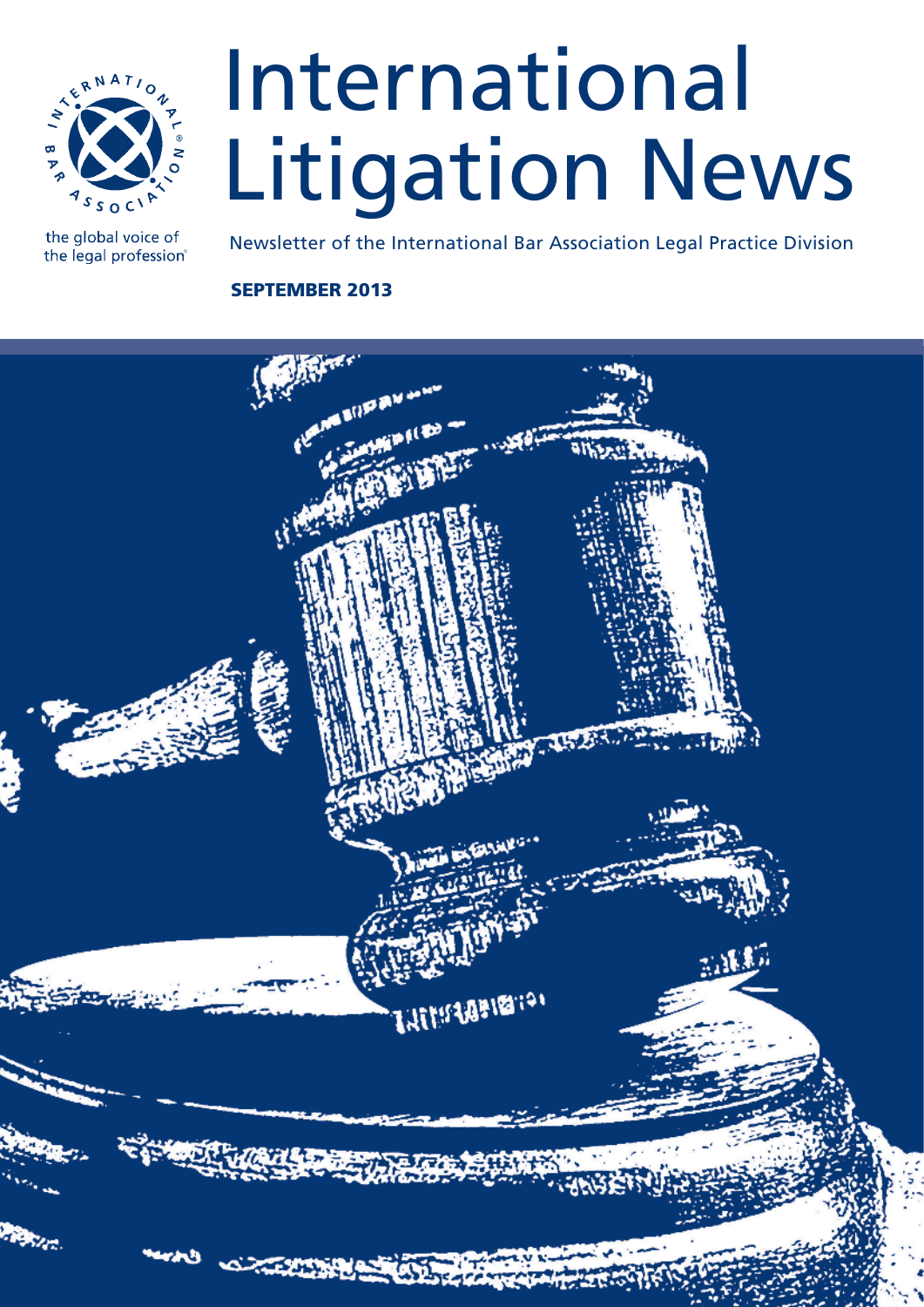

the global voice of the legal profession®

# International Litigation News

Newsletter of the International Bar Association Legal Practice Division

# SEPTEMBER 2013

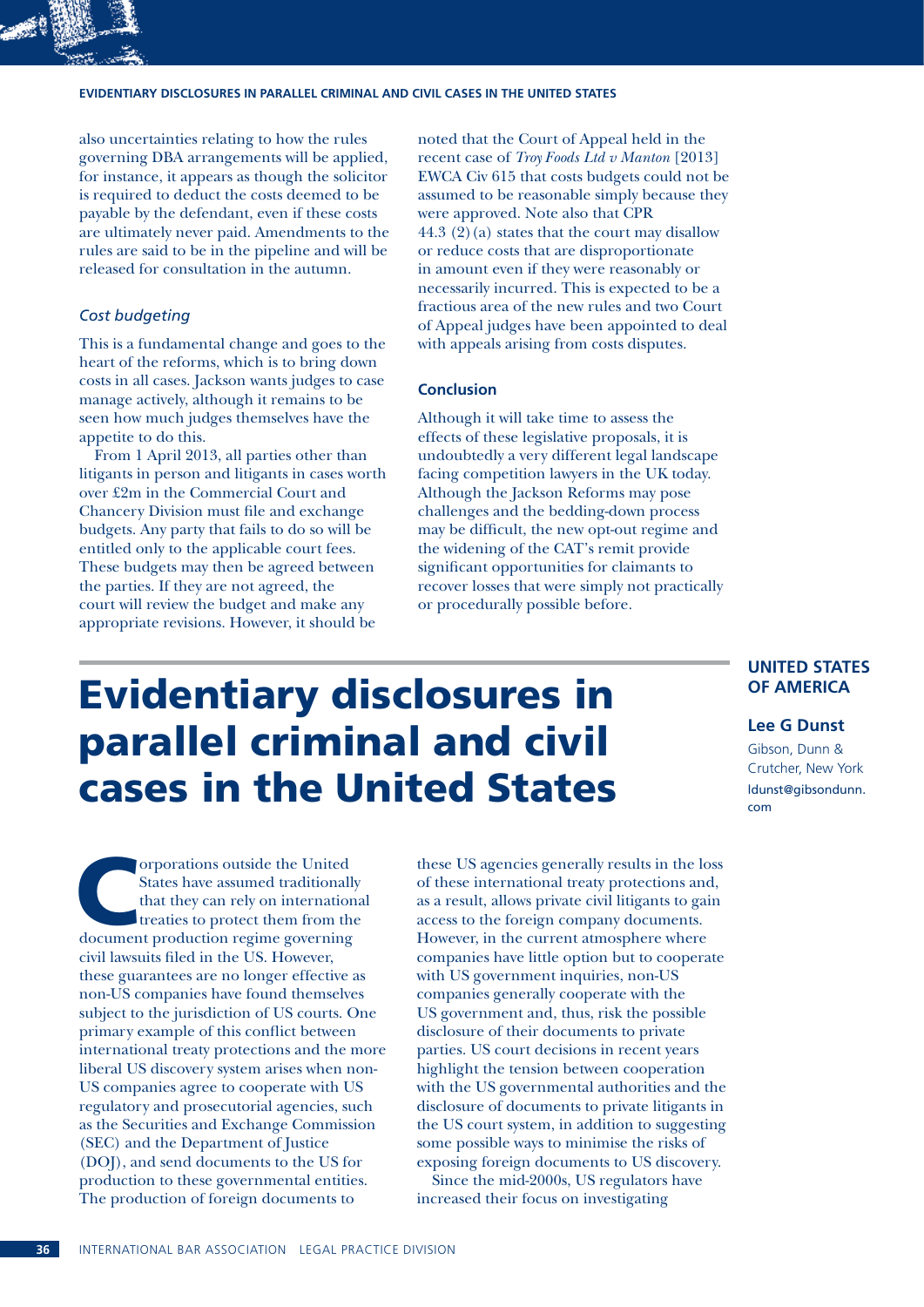#### **Evidentiary disclosures in parallel criminal and civil cases in the United States**

also uncertainties relating to how the rules governing DBA arrangements will be applied, for instance, it appears as though the solicitor is required to deduct the costs deemed to be payable by the defendant, even if these costs are ultimately never paid. Amendments to the rules are said to be in the pipeline and will be released for consultation in the autumn.

### *Cost budgeting*

This is a fundamental change and goes to the heart of the reforms, which is to bring down costs in all cases. Jackson wants judges to case manage actively, although it remains to be seen how much judges themselves have the appetite to do this.

From 1 April 2013, all parties other than litigants in person and litigants in cases worth over £2m in the Commercial Court and Chancery Division must file and exchange budgets. Any party that fails to do so will be entitled only to the applicable court fees. These budgets may then be agreed between the parties. If they are not agreed, the court will review the budget and make any appropriate revisions. However, it should be

noted that the Court of Appeal held in the recent case of *Troy Foods Ltd v Manton* [2013] EWCA Civ 615 that costs budgets could not be assumed to be reasonable simply because they were approved. Note also that CPR 44.3  $(2)(a)$  states that the court may disallow or reduce costs that are disproportionate in amount even if they were reasonably or necessarily incurred. This is expected to be a fractious area of the new rules and two Court of Appeal judges have been appointed to deal with appeals arising from costs disputes.

#### **Conclusion**

Although it will take time to assess the effects of these legislative proposals, it is undoubtedly a very different legal landscape facing competition lawyers in the UK today. Although the Jackson Reforms may pose challenges and the bedding-down process may be difficult, the new opt-out regime and the widening of the CAT's remit provide significant opportunities for claimants to recover losses that were simply not practically or procedurally possible before.

# Evidentiary disclosures in parallel criminal and civil cases in the United States

States have assumed traditionall<br>that they can rely on internation treaties to protect them from the<br>document production regime governing States have assumed traditionally that they can rely on international treaties to protect them from the document production regime governing civil lawsuits filed in the US. However, these guarantees are no longer effective as non-US companies have found themselves subject to the jurisdiction of US courts. One primary example of this conflict between international treaty protections and the more liberal US discovery system arises when non-US companies agree to cooperate with US regulatory and prosecutorial agencies, such as the Securities and Exchange Commission (SEC) and the Department of Justice (DOJ), and send documents to the US for production to these governmental entities. The production of foreign documents to

these US agencies generally results in the loss of these international treaty protections and, as a result, allows private civil litigants to gain access to the foreign company documents. However, in the current atmosphere where companies have little option but to cooperate with US government inquiries, non-US companies generally cooperate with the US government and, thus, risk the possible disclosure of their documents to private parties. US court decisions in recent years highlight the tension between cooperation with the US governmental authorities and the disclosure of documents to private litigants in the US court system, in addition to suggesting some possible ways to minimise the risks of exposing foreign documents to US discovery.

Since the mid-2000s, US regulators have increased their focus on investigating

## **UNITED STATES OF AMERICA**

#### **Lee G Dunst**

Gibson, Dunn & Crutcher, New York ldunst@gibsondunn. com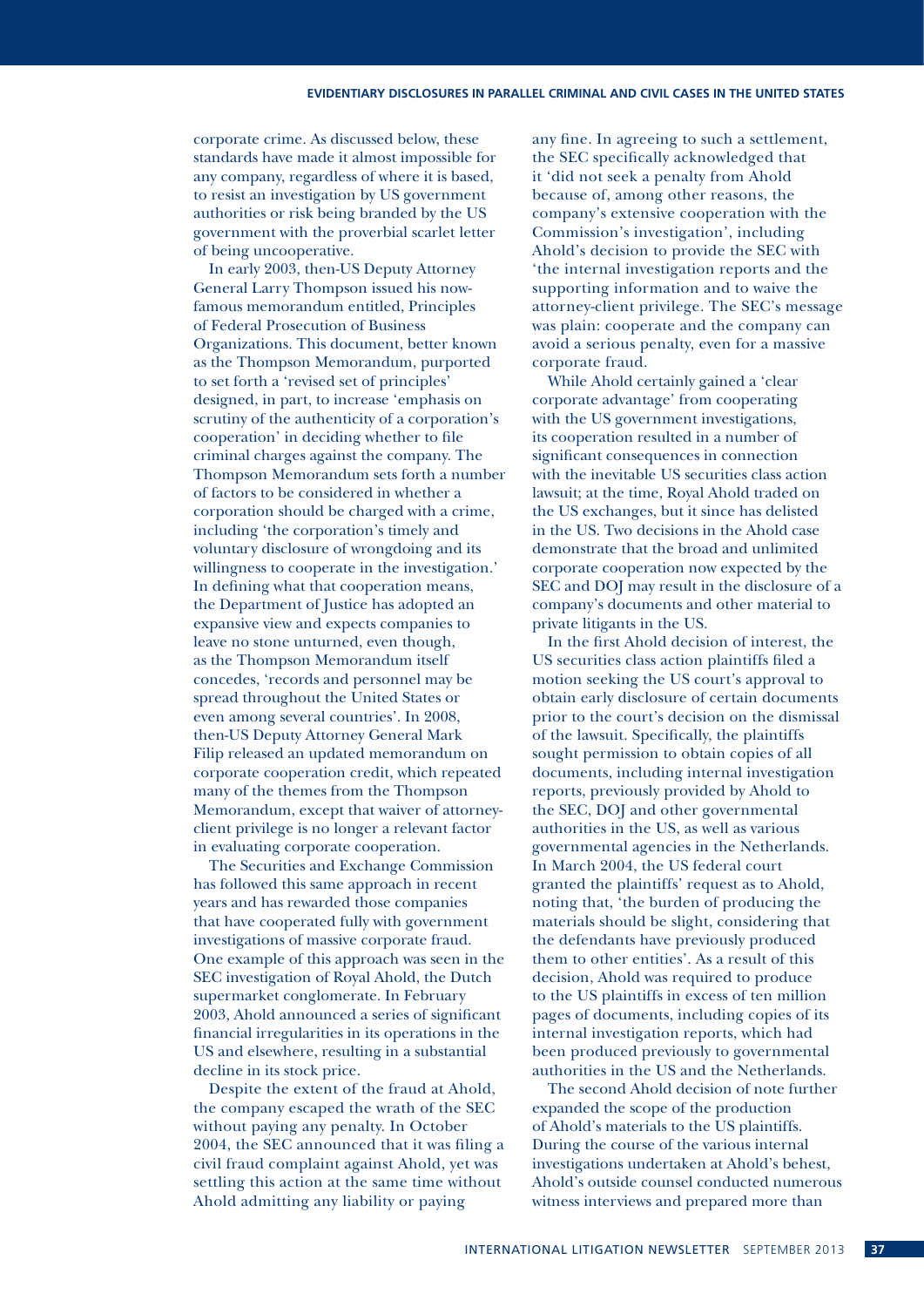corporate crime. As discussed below, these standards have made it almost impossible for any company, regardless of where it is based, to resist an investigation by US government authorities or risk being branded by the US government with the proverbial scarlet letter of being uncooperative.

In early 2003, then-US Deputy Attorney General Larry Thompson issued his nowfamous memorandum entitled, Principles of Federal Prosecution of Business Organizations. This document, better known as the Thompson Memorandum, purported to set forth a 'revised set of principles' designed, in part, to increase 'emphasis on scrutiny of the authenticity of a corporation's cooperation' in deciding whether to file criminal charges against the company. The Thompson Memorandum sets forth a number of factors to be considered in whether a corporation should be charged with a crime, including 'the corporation's timely and voluntary disclosure of wrongdoing and its willingness to cooperate in the investigation.' In defining what that cooperation means, the Department of Justice has adopted an expansive view and expects companies to leave no stone unturned, even though, as the Thompson Memorandum itself concedes, 'records and personnel may be spread throughout the United States or even among several countries'. In 2008, then-US Deputy Attorney General Mark Filip released an updated memorandum on corporate cooperation credit, which repeated many of the themes from the Thompson Memorandum, except that waiver of attorneyclient privilege is no longer a relevant factor in evaluating corporate cooperation.

The Securities and Exchange Commission has followed this same approach in recent years and has rewarded those companies that have cooperated fully with government investigations of massive corporate fraud. One example of this approach was seen in the SEC investigation of Royal Ahold, the Dutch supermarket conglomerate. In February 2003, Ahold announced a series of significant financial irregularities in its operations in the US and elsewhere, resulting in a substantial decline in its stock price.

Despite the extent of the fraud at Ahold, the company escaped the wrath of the SEC without paying any penalty. In October 2004, the SEC announced that it was filing a civil fraud complaint against Ahold, yet was settling this action at the same time without Ahold admitting any liability or paying

any fine. In agreeing to such a settlement, the SEC specifically acknowledged that it 'did not seek a penalty from Ahold because of, among other reasons, the company's extensive cooperation with the Commission's investigation', including Ahold's decision to provide the SEC with 'the internal investigation reports and the supporting information and to waive the attorney-client privilege. The SEC's message was plain: cooperate and the company can avoid a serious penalty, even for a massive corporate fraud.

While Ahold certainly gained a 'clear corporate advantage' from cooperating with the US government investigations, its cooperation resulted in a number of significant consequences in connection with the inevitable US securities class action lawsuit; at the time, Royal Ahold traded on the US exchanges, but it since has delisted in the US. Two decisions in the Ahold case demonstrate that the broad and unlimited corporate cooperation now expected by the SEC and DOJ may result in the disclosure of a company's documents and other material to private litigants in the US.

In the first Ahold decision of interest, the US securities class action plaintiffs filed a motion seeking the US court's approval to obtain early disclosure of certain documents prior to the court's decision on the dismissal of the lawsuit. Specifically, the plaintiffs sought permission to obtain copies of all documents, including internal investigation reports, previously provided by Ahold to the SEC, DOJ and other governmental authorities in the US, as well as various governmental agencies in the Netherlands. In March 2004, the US federal court granted the plaintiffs' request as to Ahold, noting that, 'the burden of producing the materials should be slight, considering that the defendants have previously produced them to other entities'. As a result of this decision, Ahold was required to produce to the US plaintiffs in excess of ten million pages of documents, including copies of its internal investigation reports, which had been produced previously to governmental authorities in the US and the Netherlands.

The second Ahold decision of note further expanded the scope of the production of Ahold's materials to the US plaintiffs. During the course of the various internal investigations undertaken at Ahold's behest, Ahold's outside counsel conducted numerous witness interviews and prepared more than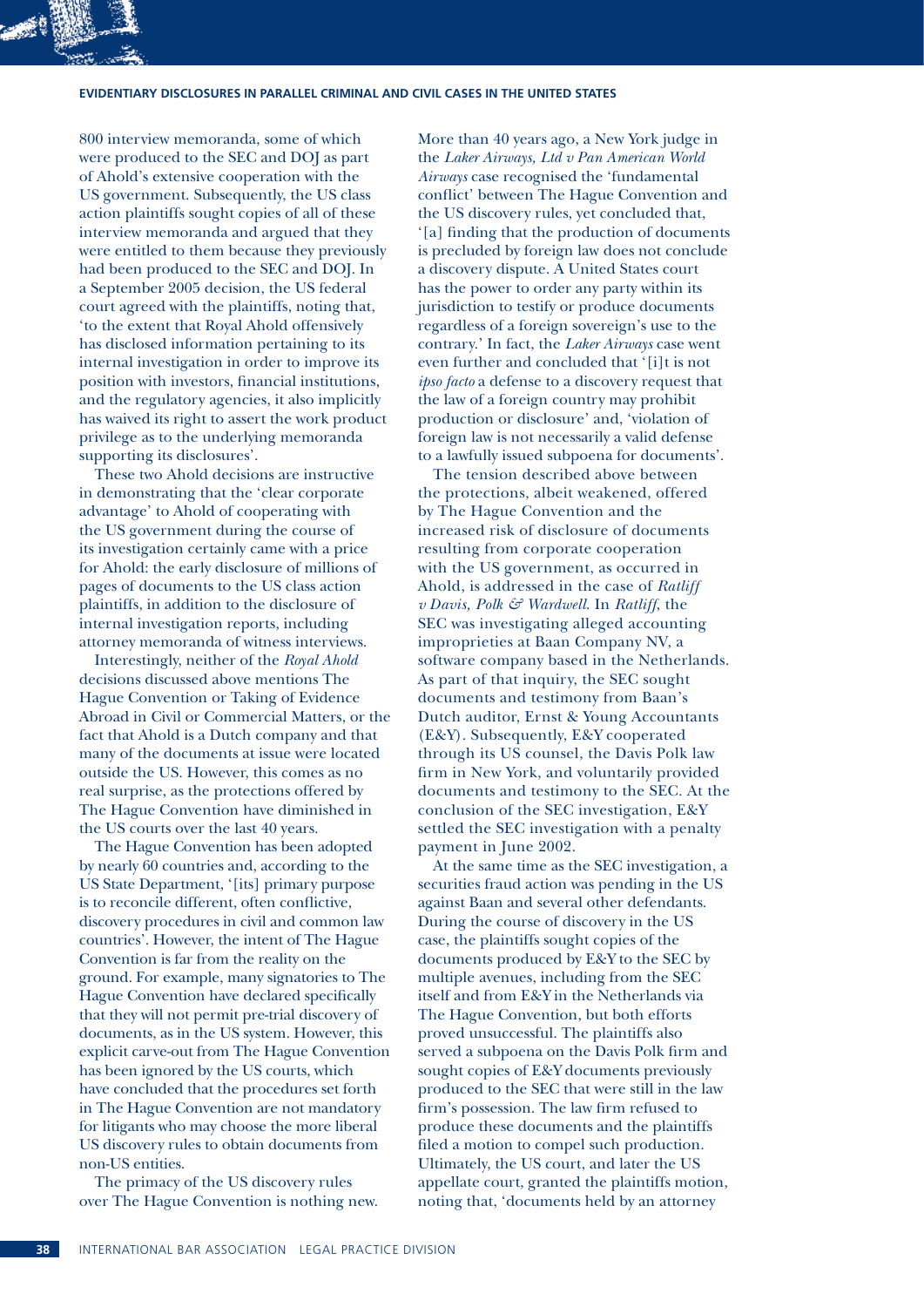#### **Evidentiary disclosures in parallel criminal and civil cases in the United States**

800 interview memoranda, some of which were produced to the SEC and DOJ as part of Ahold's extensive cooperation with the US government. Subsequently, the US class action plaintiffs sought copies of all of these interview memoranda and argued that they were entitled to them because they previously had been produced to the SEC and DOJ. In a September 2005 decision, the US federal court agreed with the plaintiffs, noting that, 'to the extent that Royal Ahold offensively has disclosed information pertaining to its internal investigation in order to improve its position with investors, financial institutions, and the regulatory agencies, it also implicitly has waived its right to assert the work product privilege as to the underlying memoranda supporting its disclosures'.

These two Ahold decisions are instructive in demonstrating that the 'clear corporate advantage' to Ahold of cooperating with the US government during the course of its investigation certainly came with a price for Ahold: the early disclosure of millions of pages of documents to the US class action plaintiffs, in addition to the disclosure of internal investigation reports, including attorney memoranda of witness interviews.

Interestingly, neither of the *Royal Ahold* decisions discussed above mentions The Hague Convention or Taking of Evidence Abroad in Civil or Commercial Matters, or the fact that Ahold is a Dutch company and that many of the documents at issue were located outside the US. However, this comes as no real surprise, as the protections offered by The Hague Convention have diminished in the US courts over the last 40 years.

The Hague Convention has been adopted by nearly 60 countries and, according to the US State Department, '[its] primary purpose is to reconcile different, often conflictive, discovery procedures in civil and common law countries'. However, the intent of The Hague Convention is far from the reality on the ground. For example, many signatories to The Hague Convention have declared specifically that they will not permit pre-trial discovery of documents, as in the US system. However, this explicit carve-out from The Hague Convention has been ignored by the US courts, which have concluded that the procedures set forth in The Hague Convention are not mandatory for litigants who may choose the more liberal US discovery rules to obtain documents from non-US entities.

The primacy of the US discovery rules over The Hague Convention is nothing new.

More than 40 years ago, a New York judge in the *Laker Airways, Ltd v Pan American World Airways* case recognised the 'fundamental conflict' between The Hague Convention and the US discovery rules, yet concluded that, '[a] finding that the production of documents is precluded by foreign law does not conclude a discovery dispute. A United States court has the power to order any party within its jurisdiction to testify or produce documents regardless of a foreign sovereign's use to the contrary.' In fact, the *Laker Airways* case went even further and concluded that '[i]t is not *ipso facto* a defense to a discovery request that the law of a foreign country may prohibit production or disclosure' and, 'violation of foreign law is not necessarily a valid defense to a lawfully issued subpoena for documents'.

The tension described above between the protections, albeit weakened, offered by The Hague Convention and the increased risk of disclosure of documents resulting from corporate cooperation with the US government, as occurred in Ahold, is addressed in the case of *Ratliff v Davis, Polk & Wardwell*. In *Ratliff*, the SEC was investigating alleged accounting improprieties at Baan Company NV, a software company based in the Netherlands. As part of that inquiry, the SEC sought documents and testimony from Baan's Dutch auditor, Ernst & Young Accountants (E&Y). Subsequently, E&Y cooperated through its US counsel, the Davis Polk law firm in New York, and voluntarily provided documents and testimony to the SEC. At the conclusion of the SEC investigation, E&Y settled the SEC investigation with a penalty payment in June 2002.

At the same time as the SEC investigation, a securities fraud action was pending in the US against Baan and several other defendants. During the course of discovery in the US case, the plaintiffs sought copies of the documents produced by E&Y to the SEC by multiple avenues, including from the SEC itself and from E&Y in the Netherlands via The Hague Convention, but both efforts proved unsuccessful. The plaintiffs also served a subpoena on the Davis Polk firm and sought copies of E&Y documents previously produced to the SEC that were still in the law firm's possession. The law firm refused to produce these documents and the plaintiffs filed a motion to compel such production. Ultimately, the US court, and later the US appellate court, granted the plaintiffs motion, noting that, 'documents held by an attorney